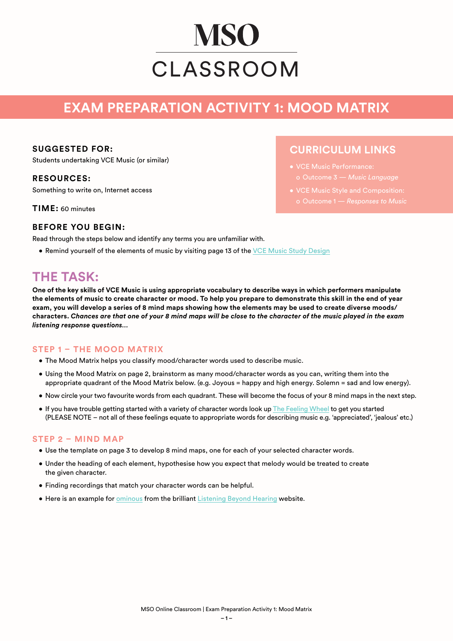# **MSO** CLASSROOM

# **EXAM PREPARATION ACTIVITY 1: MOOD MATRIX**

#### **SUGGESTED FOR:**

Students undertaking VCE Music (or similar)

#### **RESOURCES:**

Something to write on, Internet access

**TIME:** 60 minutes

# **CURRICULUM LINKS**

- VCE Music Performance: o Outcome 3 — *Music Language*
- VCE Music Style and Composition:
	-

#### **BEFORE YOU BEGIN:**

Read through the steps below and identify any terms you are unfamiliar with.

• Remind yourself of the elements of music by visiting page 13 of the [VCE Music Study Design](https://www.vcaa.vic.edu.au/Documents/vce/adjustedSD2020/2020MusicSD.pdf)

## **THE TASK:**

**One of the key skills of VCE Music is using appropriate vocabulary to describe ways in which performers manipulate the elements of music to create character or mood. To help you prepare to demonstrate this skill in the end of year exam, you will develop a series of 8 mind maps showing how the elements may be used to create diverse moods/ characters.** *Chances are that one of your 8 mind maps will be close to the character of the music played in the exam listening response questions…*

#### **STEP 1 – THE MOOD MATRIX**

- The Mood Matrix helps you classify mood/character words used to describe music.
- Using the Mood Matrix on page 2, brainstorm as many mood/character words as you can, writing them into the appropriate quadrant of the Mood Matrix below. (e.g. Joyous = happy and high energy. Solemn = sad and low energy).
- Now circle your two favourite words from each quadrant. These will become the focus of your 8 mind maps in the next step.
- If you have trouble getting started with a variety of character words look up [The Feeling Wheel](https://www.pinterest.com.au/pin/133911788890040566/?nic_v2=1a2cqcIBB) to get you started (PLEASE NOTE – not all of these feelings equate to appropriate words for describing music e.g. 'appreciated', 'jealous' etc.)

#### **STEP 2 – MIND MAP**

- Use the template on page 3 to develop 8 mind maps, one for each of your selected character words.
- Under the heading of each element, hypothesise how you expect that melody would be treated to create the given character.
- Finding recordings that match your character words can be helpful.
- **Here is an example for [ominous](https://listeningbeyondhearing.com.au/jennygillan/wp-content/uploads/sites/2/2016/06/Ominous-mind-map.pdf) from the brilliant [Listening Beyond Hearing](https://listeningbeyondhearing.com.au/) website.**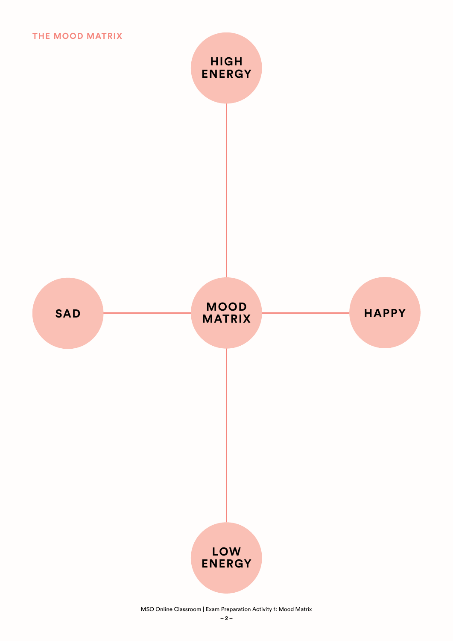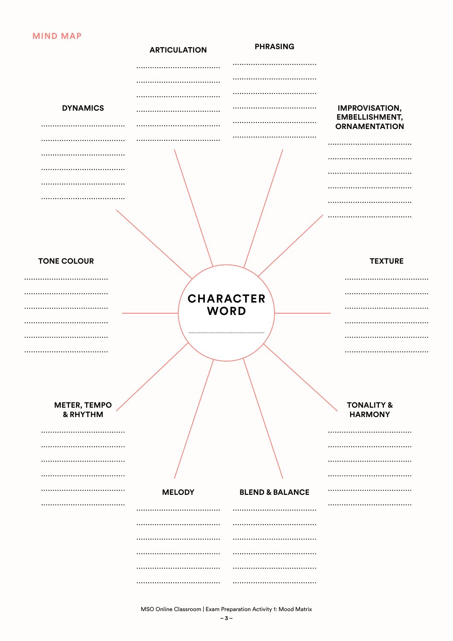#### **MIND MAP**

| <b>DYNAMICS</b><br><b>IMPROVISATION,</b><br><b>EMBELLISHMENT,</b><br><b>ORNAMENTATION</b><br><br><b>TONE COLOUR</b><br><b>TEXTURE</b><br><b>CHARACTER</b><br><b>WORD</b> |
|--------------------------------------------------------------------------------------------------------------------------------------------------------------------------|
|                                                                                                                                                                          |
|                                                                                                                                                                          |
|                                                                                                                                                                          |
|                                                                                                                                                                          |
|                                                                                                                                                                          |
|                                                                                                                                                                          |
|                                                                                                                                                                          |
|                                                                                                                                                                          |
|                                                                                                                                                                          |
|                                                                                                                                                                          |
|                                                                                                                                                                          |
|                                                                                                                                                                          |
|                                                                                                                                                                          |
|                                                                                                                                                                          |
|                                                                                                                                                                          |
|                                                                                                                                                                          |
|                                                                                                                                                                          |
|                                                                                                                                                                          |
|                                                                                                                                                                          |
|                                                                                                                                                                          |
|                                                                                                                                                                          |
|                                                                                                                                                                          |
|                                                                                                                                                                          |
|                                                                                                                                                                          |
|                                                                                                                                                                          |
| <b>METER, TEMPO</b><br><b>TONALITY &amp;</b>                                                                                                                             |
| & RHYTHM<br><b>HARMONY</b>                                                                                                                                               |
| <br>                                                                                                                                                                     |
|                                                                                                                                                                          |
| <br>                                                                                                                                                                     |
|                                                                                                                                                                          |
| <br><br><b>BLEND &amp; BALANCE</b><br><b>MELODY</b>                                                                                                                      |
|                                                                                                                                                                          |
|                                                                                                                                                                          |
|                                                                                                                                                                          |
| <br>                                                                                                                                                                     |
| <br>                                                                                                                                                                     |
|                                                                                                                                                                          |
|                                                                                                                                                                          |

MSO Online Classroom | Exam Preparation Activity 1: Mood Matrix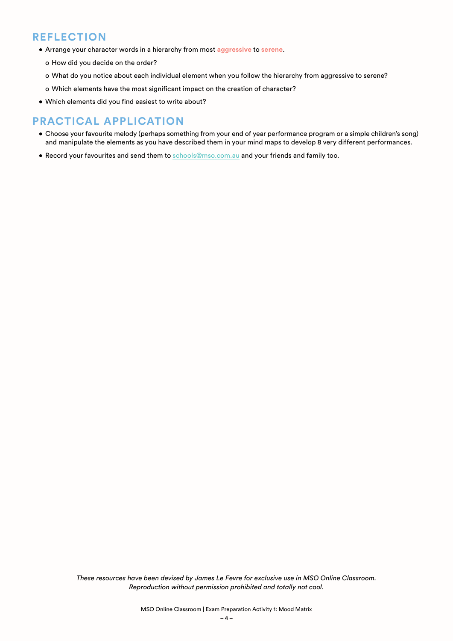### **REFLECTION**

- Arrange your character words in a hierarchy from most **aggressive** to **serene**.
	- o How did you decide on the order?
	- o What do you notice about each individual element when you follow the hierarchy from aggressive to serene?
	- o Which elements have the most significant impact on the creation of character?
- Which elements did you find easiest to write about?

## **PRACTICAL APPLICATION**

- Choose your favourite melody (perhaps something from your end of year performance program or a simple children's song) and manipulate the elements as you have described them in your mind maps to develop 8 very different performances.
- Record your favourites and send them to [schools@mso.com.au](mailto:schools%40mso.com.au?subject=) and your friends and family too.

*These resources have been devised by James Le Fevre for exclusive use in MSO Online Classroom. Reproduction without permission prohibited and totally not cool.*